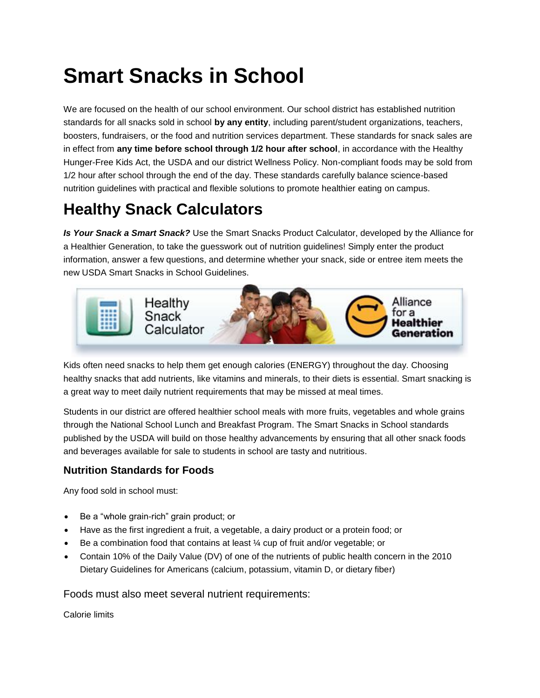# **Smart Snacks in School**

We are focused on the health of our school environment. Our school district has established nutrition standards for all snacks sold in school **by any entity**, including parent/student organizations, teachers, boosters, fundraisers, or the food and nutrition services department. These standards for snack sales are in effect from **any time before school through 1/2 hour after school**, in accordance with the Healthy Hunger-Free Kids Act, the USDA and our district Wellness Policy. Non-compliant foods may be sold from 1/2 hour after school through the end of the day. These standards carefully balance science-based nutrition guidelines with practical and flexible solutions to promote healthier eating on campus.

# **Healthy Snack Calculators**

*Is Your Snack a Smart Snack?* Use the Smart Snacks Product Calculator, developed by the Alliance for a Healthier Generation, to take the guesswork out of nutrition guidelines! Simply enter the product information, answer a few questions, and determine whether your snack, side or entree item meets the new USDA Smart Snacks in School Guidelines.



Kids often need snacks to help them get enough calories (ENERGY) throughout the day. Choosing healthy snacks that add nutrients, like vitamins and minerals, to their diets is essential. Smart snacking is a great way to meet daily nutrient requirements that may be missed at meal times.

Students in our district are offered healthier school meals with more fruits, vegetables and whole grains through the National School Lunch and Breakfast Program. The Smart Snacks in School standards published by the USDA will build on those healthy advancements by ensuring that all other snack foods and beverages available for sale to students in school are tasty and nutritious.

### **Nutrition Standards for Foods**

Any food sold in school must:

- Be a "whole grain-rich" grain product; or
- Have as the first ingredient a fruit, a vegetable, a dairy product or a protein food; or
- Be a combination food that contains at least ¼ cup of fruit and/or vegetable; or
- Contain 10% of the Daily Value (DV) of one of the nutrients of public health concern in the 2010 Dietary Guidelines for Americans (calcium, potassium, vitamin D, or dietary fiber)

Foods must also meet several nutrient requirements:

Calorie limits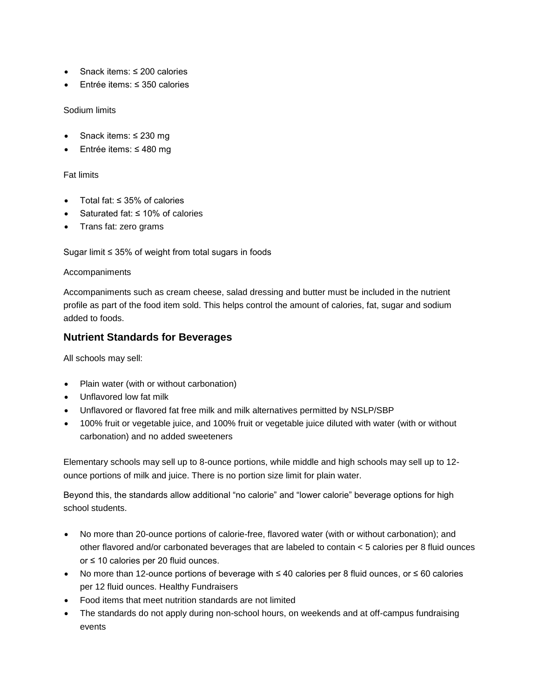- Snack items: ≤ 200 calories
- Entrée items: ≤ 350 calories

#### Sodium limits

- Snack items: ≤ 230 mg
- Entrée items: ≤ 480 mg

#### Fat limits

- Total fat: ≤ 35% of calories
- Saturated fat: ≤ 10% of calories
- Trans fat: zero grams

Sugar limit ≤ 35% of weight from total sugars in foods

#### Accompaniments

Accompaniments such as cream cheese, salad dressing and butter must be included in the nutrient profile as part of the food item sold. This helps control the amount of calories, fat, sugar and sodium added to foods.

### **Nutrient Standards for Beverages**

All schools may sell:

- Plain water (with or without carbonation)
- Unflavored low fat milk
- Unflavored or flavored fat free milk and milk alternatives permitted by NSLP/SBP
- 100% fruit or vegetable juice, and 100% fruit or vegetable juice diluted with water (with or without carbonation) and no added sweeteners

Elementary schools may sell up to 8-ounce portions, while middle and high schools may sell up to 12 ounce portions of milk and juice. There is no portion size limit for plain water.

Beyond this, the standards allow additional "no calorie" and "lower calorie" beverage options for high school students.

- No more than 20-ounce portions of calorie-free, flavored water (with or without carbonation); and other flavored and/or carbonated beverages that are labeled to contain < 5 calories per 8 fluid ounces or ≤ 10 calories per 20 fluid ounces.
- No more than 12-ounce portions of beverage with ≤ 40 calories per 8 fluid ounces, or ≤ 60 calories per 12 fluid ounces. Healthy Fundraisers
- Food items that meet nutrition standards are not limited
- The standards do not apply during non-school hours, on weekends and at off-campus fundraising events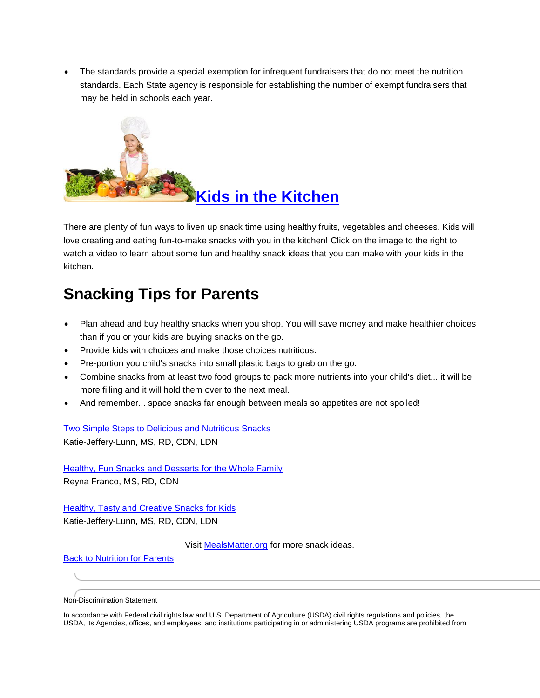The standards provide a special exemption for infrequent fundraisers that do not meet the nutrition standards. Each State agency is responsible for establishing the number of exempt fundraisers that may be held in schools each year.



There are plenty of fun ways to liven up snack time using healthy fruits, vegetables and cheeses. Kids will love creating and eating fun-to-make snacks with you in the kitchen! Click on the image to the right to watch a video to learn about some fun and healthy snack ideas that you can make with your kids in the kitchen.

## **Snacking Tips for Parents**

- Plan ahead and buy healthy snacks when you shop. You will save money and make healthier choices than if you or your kids are buying snacks on the go.
- Provide kids with choices and make those choices nutritious.
- Pre-portion you child's snacks into small plastic bags to grab on the go.
- Combine snacks from at least two food groups to pack more nutrients into your child's diet... it will be more filling and it will hold them over to the next meal.
- And remember... space snacks far enough between meals so appetites are not spoiled!

[Two Simple Steps to Delicious and Nutritious Snacks](http://www.schoolnutritionandfitness.com/linktracker.php?url=65) Katie-Jeffery-Lunn, MS, RD, CDN, LDN

[Healthy, Fun Snacks and Desserts for the Whole Family](http://www.schoolnutritionandfitness.com/linktracker.php?url=66) Reyna Franco, MS, RD, CDN

**[Healthy, Tasty and Creative Snacks for Kids](http://www.schoolnutritionandfitness.com/linktracker.php?url=67)** Katie-Jeffery-Lunn, MS, RD, CDN, LDN

Visit [MealsMatter.org](http://www.schoolnutritionandfitness.com/linktracker.php?url=30) for more snack ideas.

[Back to Nutrition for Parents](http://www.schoolnutritionandfitness.com/index.php?page=nutri4parents&sid=1707142351545761)

Non-Discrimination Statement

In accordance with Federal civil rights law and U.S. Department of Agriculture (USDA) civil rights regulations and policies, the USDA, its Agencies, offices, and employees, and institutions participating in or administering USDA programs are prohibited from